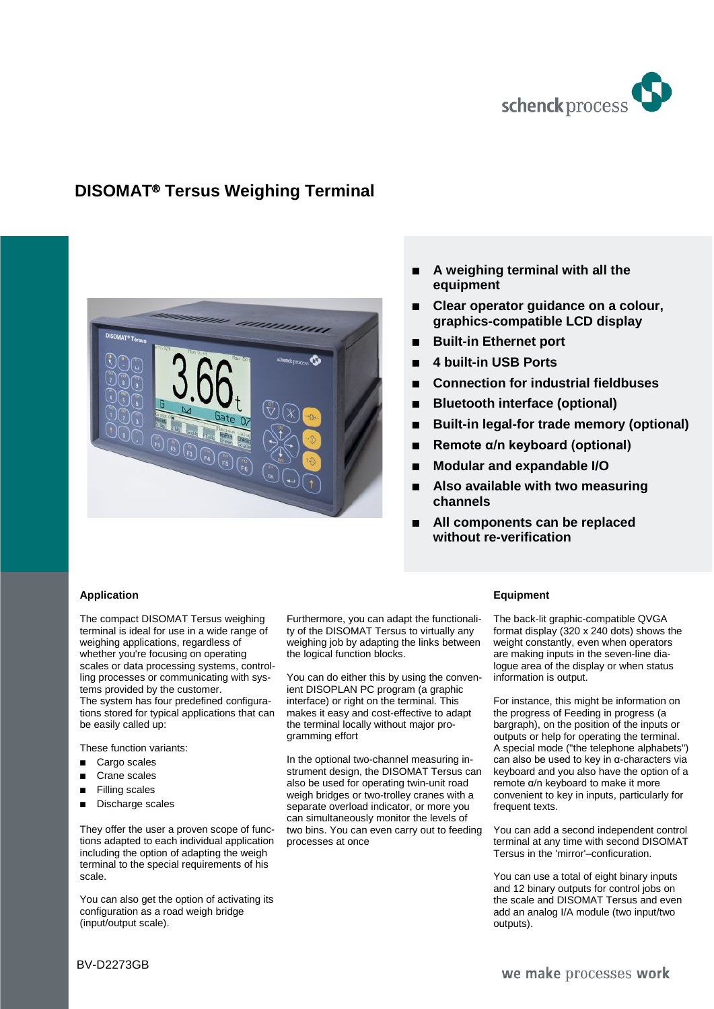

# **DISOMAT**® **Tersus Weighing Terminal**



- **A weighing terminal with all the equipment**
- **Clear operator guidance on a colour, graphics-compatible LCD display**
- **Built-in Ethernet port**
- **4 built-in USB Ports**
- **Connection for industrial fieldbuses**
- **Bluetooth interface (optional)**
- Built-in legal-for trade memory (optional)
- **Remote α/n keyboard (optional)**
- **Modular and expandable I/O**
- **Also available with two measuring channels**
- **All components can be replaced without re-verification**

#### **Application**

The compact DISOMAT Tersus weighing terminal is ideal for use in a wide range of weighing applications, regardless of whether you're focusing on operating scales or data processing systems, controlling processes or communicating with systems provided by the customer. The system has four predefined configurations stored for typical applications that can be easily called up:

These function variants:

- Cargo scales
- Crane scales
- **Filling scales**
- Discharge scales

They offer the user a proven scope of functions adapted to each individual application including the option of adapting the weigh terminal to the special requirements of his scale.

You can also get the option of activating its configuration as a road weigh bridge (input/output scale).

Furthermore, you can adapt the functionality of the DISOMAT Tersus to virtually any weighing job by adapting the links between the logical function blocks.

You can do either this by using the convenient DISOPLAN PC program (a graphic interface) or right on the terminal. This makes it easy and cost-effective to adapt the terminal locally without major programming effort

In the optional two-channel measuring instrument design, the DISOMAT Tersus can also be used for operating twin-unit road weigh bridges or two-trolley cranes with a separate overload indicator, or more you can simultaneously monitor the levels of two bins. You can even carry out to feeding processes at once

#### **Equipment**

The back-lit graphic-compatible QVGA format display (320 x 240 dots) shows the weight constantly, even when operators are making inputs in the seven-line dialogue area of the display or when status information is output.

For instance, this might be information on the progress of Feeding in progress (a bargraph), on the position of the inputs or outputs or help for operating the terminal. A special mode ("the telephone alphabets") can also be used to key in α-characters via keyboard and you also have the option of a remote α/n keyboard to make it more convenient to key in inputs, particularly for frequent texts.

You can add a second independent control terminal at any time with second DISOMAT Tersus in the 'mirror'–conficuration.

You can use a total of eight binary inputs and 12 binary outputs for control jobs on the scale and DISOMAT Tersus and even add an analog I/A module (two input/two outputs).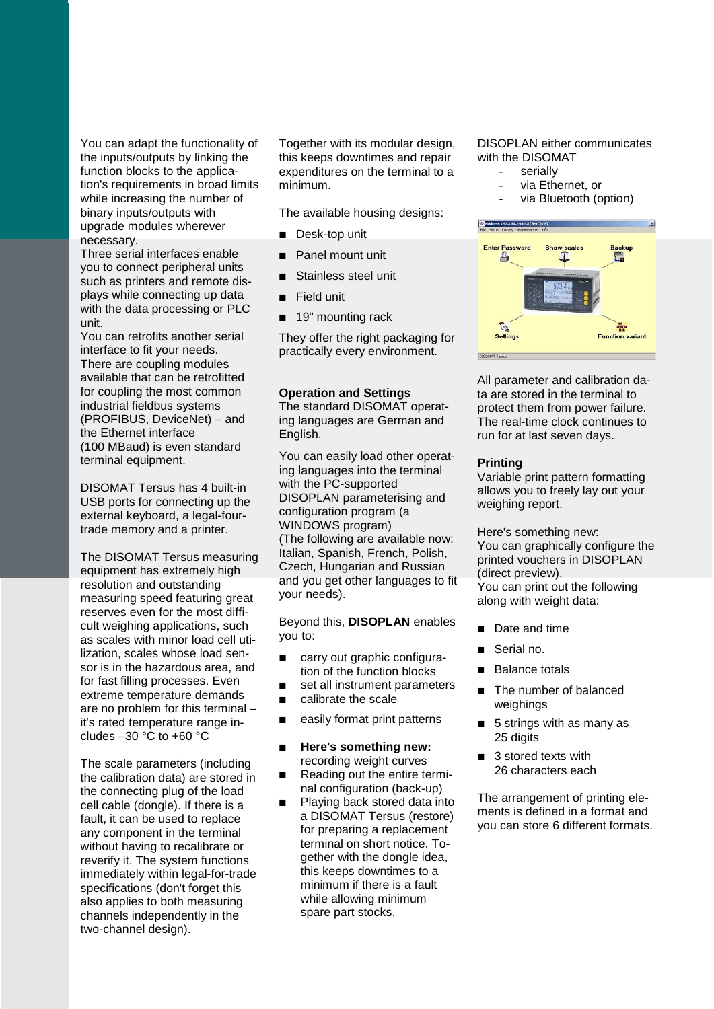You can adapt the functionality of the inputs/outputs by linking the function blocks to the application's requirements in broad limits while increasing the number of binary inputs/outputs with upgrade modules wherever necessary.

Three serial interfaces enable you to connect peripheral units such as printers and remote displays while connecting up data with the data processing or PLC unit.

You can retrofits another serial interface to fit your needs. There are coupling modules available that can be retrofitted for coupling the most common industrial fieldbus systems (PROFIBUS, DeviceNet) – and the Ethernet interface (100 MBaud) is even standard terminal equipment.

DISOMAT Tersus has 4 built-in USB ports for connecting up the external keyboard, a legal-fourtrade memory and a printer.

The DISOMAT Tersus measuring equipment has extremely high resolution and outstanding measuring speed featuring great reserves even for the most difficult weighing applications, such as scales with minor load cell utilization, scales whose load sensor is in the hazardous area, and for fast filling processes. Even extreme temperature demands are no problem for this terminal – it's rated temperature range includes  $-30$  °C to  $+60$  °C

The scale parameters (including the calibration data) are stored in the connecting plug of the load cell cable (dongle). If there is a fault, it can be used to replace any component in the terminal without having to recalibrate or reverify it. The system functions immediately within legal-for-trade specifications (don't forget this also applies to both measuring channels independently in the two-channel design).

Together with its modular design, this keeps downtimes and repair expenditures on the terminal to a minimum.

The available housing designs:

- Desk-top unit
- Panel mount unit
- Stainless steel unit
- Field unit
- 19" mounting rack

They offer the right packaging for practically every environment.

#### **Operation and Settings**

The standard DISOMAT operating languages are German and English.

You can easily load other operating languages into the terminal with the PC-supported DISOPLAN parameterising and configuration program (a WINDOWS program) (The following are available now: Italian, Spanish, French, Polish, Czech, Hungarian and Russian and you get other languages to fit your needs).

Beyond this, **DISOPLAN** enables you to:

- carry out graphic configuration of the function blocks
- set all instrument parameters
- calibrate the scale
- easily format print patterns
- **Here's something new:** recording weight curves
- Reading out the entire terminal configuration (back-up)
- Playing back stored data into a DISOMAT Tersus (restore) for preparing a replacement terminal on short notice. Together with the dongle idea, this keeps downtimes to a minimum if there is a fault while allowing minimum spare part stocks.

DISOPLAN either communicates with the DISOMAT

- serially
- via Ethernet, or
- via Bluetooth (option)



All parameter and calibration data are stored in the terminal to protect them from power failure. The real-time clock continues to run for at last seven days.

#### **Printing**

Variable print pattern formatting allows you to freely lay out your weighing report.

Here's something new: You can graphically configure the printed vouchers in DISOPLAN (direct preview). You can print out the following along with weight data:

- Date and time
- Serial no.
- Balance totals
- The number of balanced weighings
- 5 strings with as many as 25 digits
- 3 stored texts with 26 characters each

The arrangement of printing elements is defined in a format and you can store 6 different formats.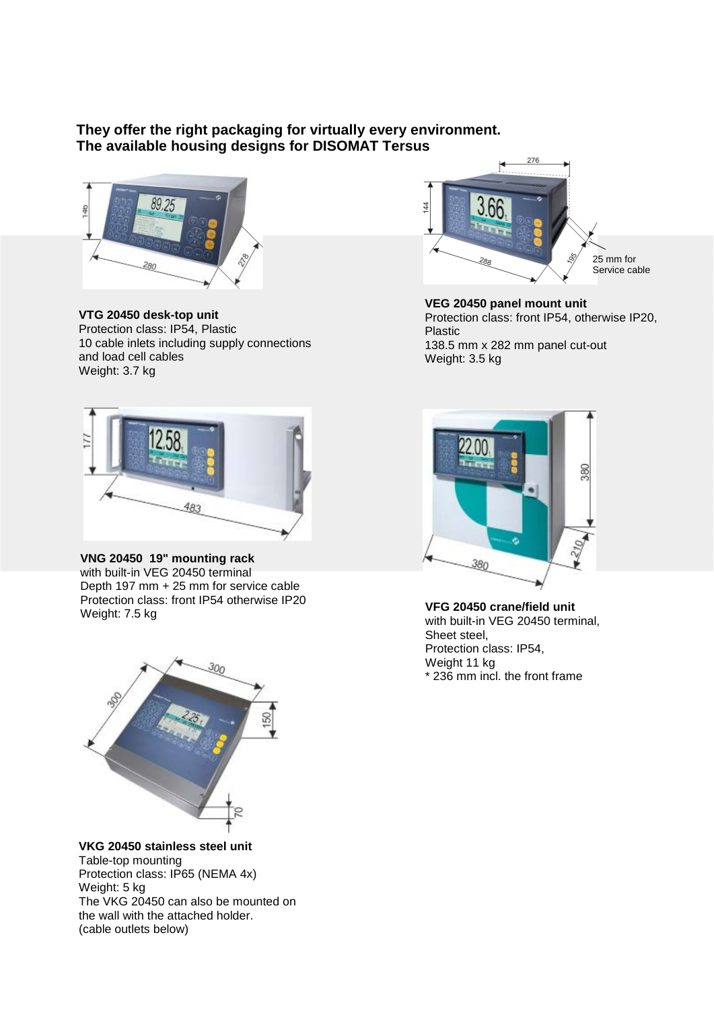## **They offer the right packaging for virtually every environment. The available housing designs for DISOMAT Tersus**



**VTG 20450 desk-top unit** Protection class: IP54, Plastic 10 cable inlets including supply connections and load cell cables Weight: 3.7 kg



**VEG 20450 panel mount unit** Protection class: front IP54, otherwise IP20, Plastic 138.5 mm x 282 mm panel cut-out

Weight: 3.5 kg



### **VNG 20450 19" mounting rack**

with built-in VEG 20450 terminal Depth 197 mm + 25 mm for service cable Protection class: front IP54 otherwise IP20<br>Weight: 7.5 kg



**VKG 20450 stainless steel unit** Table-top mounting Protection class: IP65 (NEMA 4x) Weight: 5 kg The VKG 20450 can also be mounted on the wall with the attached holder. (cable outlets below)



VFG 20450 crane/field unit with built-in VEG 20450 terminal, Sheet steel, Protection class: IP54, Weight 11 kg \* 236 mm incl. the front frame